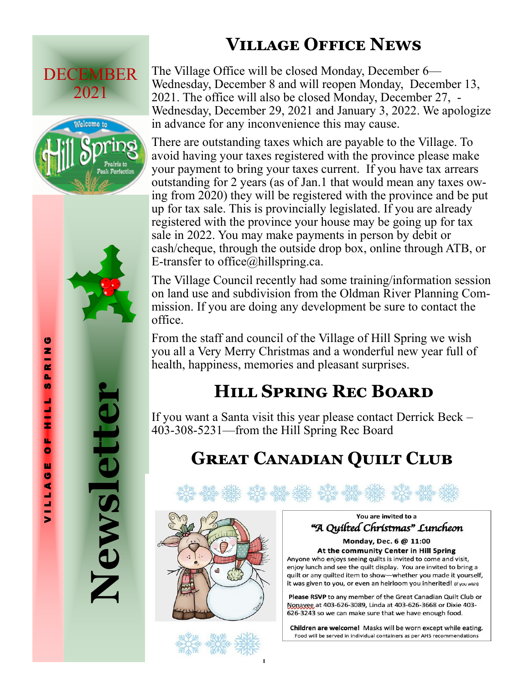## **Village Office News**

# DECEMBER 2021



The Village Office will be closed Monday, December 6— Wednesday, December 8 and will reopen Monday, December 13, 2021. The office will also be closed Monday, December 27, - Wednesday, December 29, 2021 and January 3, 2022. We apologize in advance for any inconvenience this may cause.

There are outstanding taxes which are payable to the Village. To avoid having your taxes registered with the province please make your payment to bring your taxes current. If you have tax arrears outstanding for 2 years (as of Jan.1 that would mean any taxes owing from 2020) they will be registered with the province and be put up for tax sale. This is provincially legislated. If you are already registered with the province your house may be going up for tax sale in 2022. You may make payments in person by debit or cash/cheque, through the outside drop box, online through ATB, or E-transfer to office $@$ hillspring.ca.

The Village Council recently had some training/information session on land use and subdivision from the Oldman River Planning Commission. If you are doing any development be sure to contact the office.

From the staff and council of the Village of Hill Spring we wish you all a Very Merry Christmas and a wonderful new year full of health, happiness, memories and pleasant surprises.

### **Hill Spring Rec Board**

If you want a Santa visit this year please contact Derrick Beck – 403-308-5231—from the Hill Spring Rec Board

### **Great Canadian Quilt Club**



You are invited to a "A Quilted Christmas" Luncheon

Monday, Dec. 6 @ 11:00 At the community Center in Hill Spring Anyone who enjoys seeing quilts is invited to come and visit, enjoy lunch and see the quilt display. You are invited to bring a quilt or any quilted item to show-whether you made it yourself, it was given to you, or even an heirloom you inherited! (if you wish)

Please RSVP to any member of the Great Canadian Quilt Club or Nonavee at 403-626-3089, Linda at 403-626-3668 or Dixie 403-626-3243 so we can make sure that we have enough food.

Children are welcome! Masks will be worn except while eating. Food will be served in individual containers as per AHS recommendations

**Newsletter**